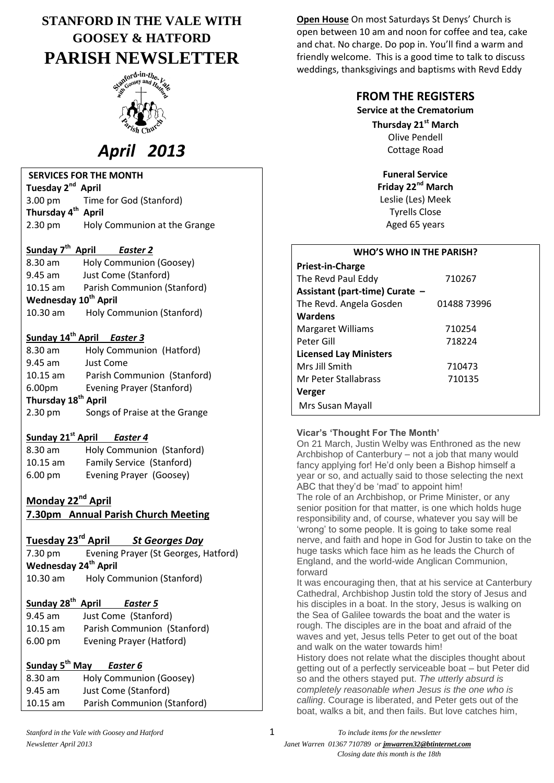## **STANFORD IN THE VALE WITH GOOSEY & HATFORD PARISH NEWSLETTER**



# *April 2013*

#### **SERVICES FOR THE MONTH**

**Tuesday 2nd April** 3.00 pm Time for God (Stanford) **Thursday 4 th April**  2.30 pm Holy Communion at the Grange

#### **Sunday 7 th April** *Easter 2*

8.30 am Holy Communion (Goosey) 9.45 am Just Come (Stanford) 10.15 am Parish Communion (Stanford) **Wednesday 10th April** 10.30 am Holy Communion (Stanford)

## **Sunday 14th April** *Easter 3*

| Holy Communion (Hatford)        |  |  |  |  |
|---------------------------------|--|--|--|--|
| Just Come                       |  |  |  |  |
| Parish Communion (Stanford)     |  |  |  |  |
| Evening Prayer (Stanford)       |  |  |  |  |
| Thursday 18 <sup>th</sup> April |  |  |  |  |
| Songs of Praise at the Grange   |  |  |  |  |
|                                 |  |  |  |  |

## **Sunday 21st April** *Easter 4*

| $8.30$ am         | Holy Communion (Stanford) |
|-------------------|---------------------------|
| $10.15$ am        | Family Service (Stanford) |
| $6.00 \text{ pm}$ | Evening Prayer (Goosey)   |

## **Monday 22nd April**

**7.30pm Annual Parish Church Meeting**

#### **Tuesday 23rd April** *St Georges Day*

7.30 pm Evening Prayer (St Georges, Hatford) **Wednesday 24th April** 10.30 am Holy Communion (Stanford)

#### **Sunday 28th** *Easter 5*

| $9.45$ am         | Just Come (Stanford)        |
|-------------------|-----------------------------|
| $10.15$ am        | Parish Communion (Stanford) |
| $6.00 \text{ pm}$ | Evening Prayer (Hatford)    |

### **Sunday 5th May** *Easter 6*

| 8.30 am    | Holy Communion (Goosey)     |
|------------|-----------------------------|
| $9.45$ am  | Just Come (Stanford)        |
| $10.15$ am | Parish Communion (Stanford) |

**Open House** On most Saturdays St Denys' Church is open between 10 am and noon for coffee and tea, cake and chat. No charge. Do pop in. You'll find a warm and friendly welcome. This is a good time to talk to discuss weddings, thanksgivings and baptisms with Revd Eddy

### **FROM THE REGISTERS**

**Service at the Crematorium**

**Thursday 21st March** Olive Pendell Cottage Road

**Funeral Service Friday 22nd March** Leslie (Les) Meek Tyrells Close Aged 65 years

#### **WHO'S WHO IN THE PARISH?**

| Priest-in-Charge               |             |
|--------------------------------|-------------|
| The Revd Paul Eddy             | 710267      |
| Assistant (part-time) Curate - |             |
| The Revd. Angela Gosden        | 01488 73996 |
| Wardens                        |             |
| <b>Margaret Williams</b>       | 710254      |
| Peter Gill                     | 718224      |
| <b>Licensed Lay Ministers</b>  |             |
| Mrs Jill Smith                 | 710473      |
| Mr Peter Stallabrass           | 710135      |
| Verger                         |             |
| Mrs Susan Mayall               |             |

#### **Vicar's 'Thought For The Month'**

On 21 March, Justin Welby was Enthroned as the new Archbishop of Canterbury – not a job that many would fancy applying for! He'd only been a Bishop himself a year or so, and actually said to those selecting the next ABC that they'd be 'mad' to appoint him!

The role of an Archbishop, or Prime Minister, or any senior position for that matter, is one which holds huge responsibility and, of course, whatever you say will be 'wrong' to some people. It is going to take some real nerve, and faith and hope in God for Justin to take on the huge tasks which face him as he leads the Church of England, and the world-wide Anglican Communion, forward

It was encouraging then, that at his service at Canterbury Cathedral, Archbishop Justin told the story of Jesus and his disciples in a boat. In the story, Jesus is walking on the Sea of Galilee towards the boat and the water is rough. The disciples are in the boat and afraid of the waves and yet, Jesus tells Peter to get out of the boat and walk on the water towards him!

History does not relate what the disciples thought about getting out of a perfectly serviceable boat – but Peter did so and the others stayed put. *The utterly absurd is completely reasonable when Jesus is the one who is calling*. Courage is liberated, and Peter gets out of the boat, walks a bit, and then fails. But love catches him,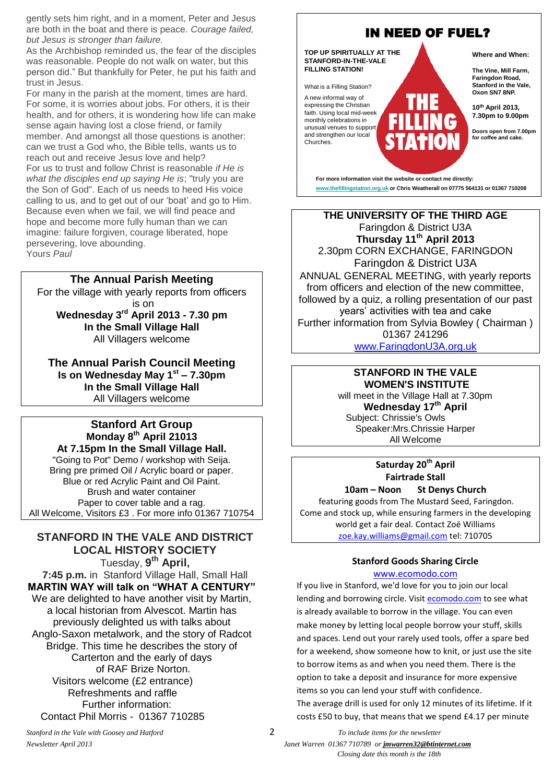gently sets him right, and in a moment, Peter and Jesus are both in the boat and there is peace. *Courage failed, but Jesus is stronger than failure.*

As the Archbishop reminded us, the fear of the disciples was reasonable. People do not walk on water, but this person did." But thankfully for Peter, he put his faith and trust in Jesus.

For many in the parish at the moment, times are hard. For some, it is worries about jobs. For others, it is their health, and for others, it is wondering how life can make sense again having lost a close friend, or family member. And amongst all those questions is another: can we trust a God who, the Bible tells, wants us to reach out and receive Jesus love and help? For us to trust and follow Christ is reasonable *if He is what the disciples end up saying He is*; "truly you are the Son of God". Each of us needs to heed His voice calling to us, and to get out of our 'boat' and go to Him. Because even when we fail, we will find peace and hope and become more fully human than we can imagine: failure forgiven, courage liberated, hope persevering, love abounding. Yours *Paul*

#### **The Annual Parish Meeting**

For the village with yearly reports from officers is on **Wednesday 3 rd April 2013 - 7.30 pm In the Small Village Hall** All Villagers welcome

**The Annual Parish Council Meeting Is on Wednesday May 1st – 7.30pm In the Small Village Hall** All Villagers welcome

#### **Stanford Art Group Monday 8 th April 21013 At 7.15pm In the Small Village Hall.** "Going to Pot" Demo / workshop with Seija. Bring pre primed Oil / Acrylic board or paper. Blue or red Acrylic Paint and Oil Paint. Brush and water container Paper to cover table and a rag.

All Welcome, Visitors £3 . For more info 01367 710754

#### **STANFORD IN THE VALE AND DISTRICT LOCAL HISTORY SOCIETY**

Tuesday, **9 th April, 7:45 p.m.** in Stanford Village Hall, Small Hall **MARTIN WAY will talk on "WHAT A CENTURY"** We are delighted to have another visit by Martin, a local historian from Alvescot. Martin has previously delighted us with talks about Anglo-Saxon metalwork, and the story of Radcot Bridge. This time he describes the story of Carterton and the early of days of RAF Brize Norton. Visitors welcome (£2 entrance) Refreshments and raffle Further information: Contact Phil Morris - 01367 710285



**THE UNIVERSITY OF THE THIRD AGE** Faringdon & District U3A **Thursday 11th April 2013** 2.30pm CORN EXCHANGE, FARINGDON Faringdon & District U3A ANNUAL GENERAL MEETING, with yearly reports from officers and election of the new committee, followed by a quiz, a rolling presentation of our past years' activities with tea and cake Further information from Sylvia Bowley ( Chairman ) 01367 241296 [www.FaringdonU3A.org.uk](http://www.faringdonu3a.org.uk/)

#### **STANFORD IN THE VALE WOMEN'S INSTITUTE**

will meet in the Village Hall at 7.30pm **Wednesday 17th April** Subject: Chrissie's Owls Speaker:Mrs.Chrissie Harper All Welcome

## **Saturday 20th April Fairtrade Stall**

**10am – Noon St Denys Church** featuring goods from The Mustard Seed, Faringdon. Come and stock up, while ensuring farmers in the developing world get a fair deal. Contact Zoë Williams [zoe.kay.williams@gmail.com](mailto:zoe.kay.williams@gmail.com) tel: 710705

## **Stanford Goods Sharing Circle**

#### [www.ecomodo.com](http://www.ecomodo.com/)

If you live in Stanford, we'd love for you to join our local lending and borrowing circle. Visit [ecomodo.com](http://ecomodo.com/) to see what is already available to borrow in the village. You can even make money by letting local people borrow your stuff, skills and spaces. Lend out your rarely used tools, offer a spare bed for a weekend, show someone how to knit, or just use the site to borrow items as and when you need them. There is the option to take a deposit and insurance for more expensive items so you can lend your stuff with confidence. The average drill is used for only 12 minutes of its lifetime. If it costs £50 to buy, that means that we spend £4.17 per minute

*Stanford in the Vale with Goosey and Hatford* 2 *To include items for the newsletter Newsletter April 2013 Janet Warren 01367 710789 or jmwarren32@btinternet.com Closing date this month is the 18th*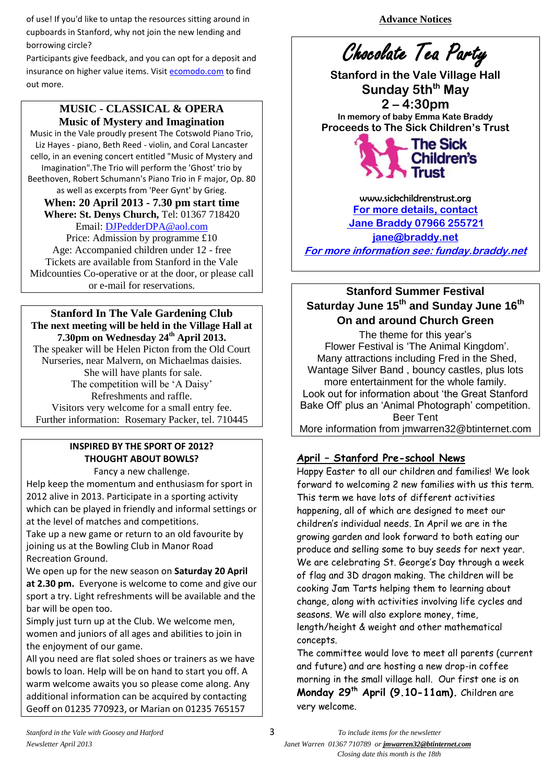of use! If you'd like to untap the resources sitting around in cupboards in Stanford, why not join the new lending and borrowing circle?

Participants give feedback, and you can opt for a deposit and insurance on higher value items. Visit [ecomodo.com](http://ecomodo.com/) to find out more.

## **MUSIC - CLASSICAL & OPERA Music of Mystery and Imagination**

Music in the Vale proudly present The Cotswold Piano Trio, Liz Hayes - piano, Beth Reed - violin, and Coral Lancaster cello, in an evening concert entitled "Music of Mystery and Imagination".The Trio will perform the 'Ghost' trio by Beethoven, Robert Schumann's Piano Trio in F major, Op. 80 as well as excerpts from 'Peer Gynt' by Grieg.

**When: 20 April 2013 - 7.30 pm start time Where: St. Denys Church,** Tel: 01367 718420 Email: [DJPedderDPA@aol.com](mailto:DJPedderDPA@aol.com)

Price: Admission by programme £10 Age: Accompanied children under 12 - free Tickets are available from Stanford in the Vale Midcounties Co-operative or at the door, or please call or e-mail for reservations.

**Stanford In The Vale Gardening Club The next meeting will be held in the Village Hall at 7.30pm on Wednesday 24th April 2013.** The speaker will be Helen Picton from the Old Court Nurseries, near Malvern, on Michaelmas daisies. She will have plants for sale. The competition will be 'A Daisy' Refreshments and raffle. Visitors very welcome for a small entry fee. Further information: Rosemary Packer, tel. 710445

## **INSPIRED BY THE SPORT OF 2012? THOUGHT ABOUT BOWLS?**

Fancy a new challenge.

Help keep the momentum and enthusiasm for sport in 2012 alive in 2013. Participate in a sporting activity which can be played in friendly and informal settings or at the level of matches and competitions.

Take up a new game or return to an old favourite by joining us at the Bowling Club in Manor Road Recreation Ground.

We open up for the new season on **Saturday 20 April at 2.30 pm.** Everyone is welcome to come and give our sport a try. Light refreshments will be available and the bar will be open too.

Simply just turn up at the Club. We welcome men, women and juniors of all ages and abilities to join in the enjoyment of our game.

All you need are flat soled shoes or trainers as we have bowls to loan. Help will be on hand to start you off. A warm welcome awaits you so please come along. Any additional information can be acquired by contacting Geoff on 01235 770923, or Marian on 01235 765157

**Advance Notices**

# Chocolate Tea Party

**Stanford in the Vale Village Hall Sunday 5thth May 2 – 4:30pm In memory of baby Emma Kate Braddy Proceeds to The Sick Children's Trust** 



www.sickchildrenstrust.org **For more details, contact Jane Braddy 07966 255721 [jane@braddy.net](mailto:jane@braddy.net) For more information see: funday.braddy.net**

## **Stanford Summer Festival Saturday June 15th and Sunday June 16th On and around Church Green**

The theme for this year's Flower Festival is 'The Animal Kingdom'. Many attractions including Fred in the Shed, Wantage Silver Band , bouncy castles, plus lots more entertainment for the whole family. Look out for information about 'the Great Stanford Bake Off' plus an 'Animal Photograph' competition. Beer Tent More information from jmwarren32@btinternet.com

## **April – Stanford Pre-school News**

Happy Easter to all our children and families! We look forward to welcoming 2 new families with us this term. This term we have lots of different activities happening, all of which are designed to meet our children's individual needs. In April we are in the growing garden and look forward to both eating our produce and selling some to buy seeds for next year. We are celebrating St. George's Day through a week of flag and 3D dragon making. The children will be cooking Jam Tarts helping them to learning about change, along with activities involving life cycles and seasons. We will also explore money, time, length/height & weight and other mathematical concepts.

The committee would love to meet all parents (current and future) and are hosting a new drop-in coffee morning in the small village hall. Our first one is on **Monday 29th April (9.10-11am).** Children are very welcome.